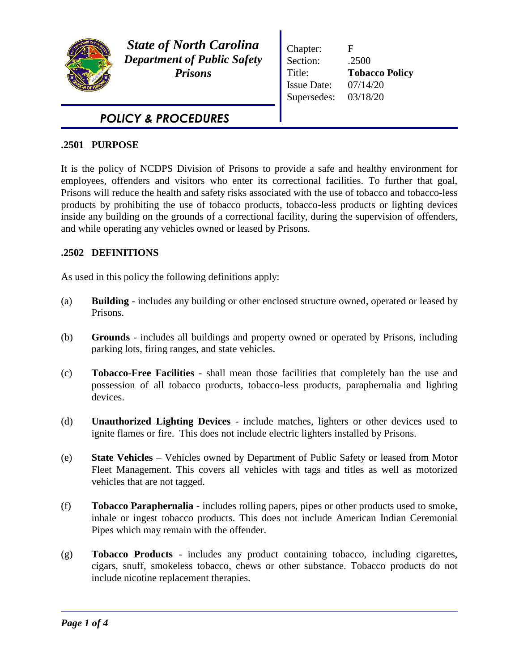

*State of North Carolina Department of Public Safety Prisons*

Chapter: F Section: .2500 Title: **Tobacco Policy** Issue Date: 07/14/20 Supersedes: 03/18/20

# *POLICY & PROCEDURES*

## **.2501 PURPOSE**

It is the policy of NCDPS Division of Prisons to provide a safe and healthy environment for employees, offenders and visitors who enter its correctional facilities. To further that goal, Prisons will reduce the health and safety risks associated with the use of tobacco and tobacco-less products by prohibiting the use of tobacco products, tobacco-less products or lighting devices inside any building on the grounds of a correctional facility, during the supervision of offenders, and while operating any vehicles owned or leased by Prisons.

# **.2502 DEFINITIONS**

As used in this policy the following definitions apply:

- (a) **Building**  includes any building or other enclosed structure owned, operated or leased by Prisons.
- (b) **Grounds**  includes all buildings and property owned or operated by Prisons, including parking lots, firing ranges, and state vehicles.
- (c) **Tobacco-Free Facilities** shall mean those facilities that completely ban the use and possession of all tobacco products, tobacco-less products, paraphernalia and lighting devices.
- (d) **Unauthorized Lighting Devices** include matches, lighters or other devices used to ignite flames or fire. This does not include electric lighters installed by Prisons.
- (e) **State Vehicles**  Vehicles owned by Department of Public Safety or leased from Motor Fleet Management. This covers all vehicles with tags and titles as well as motorized vehicles that are not tagged.
- (f) **Tobacco Paraphernalia** includes rolling papers, pipes or other products used to smoke, inhale or ingest tobacco products. This does not include American Indian Ceremonial Pipes which may remain with the offender.
- (g) **Tobacco Products** includes any product containing tobacco, including cigarettes, cigars, snuff, smokeless tobacco, chews or other substance. Tobacco products do not include nicotine replacement therapies.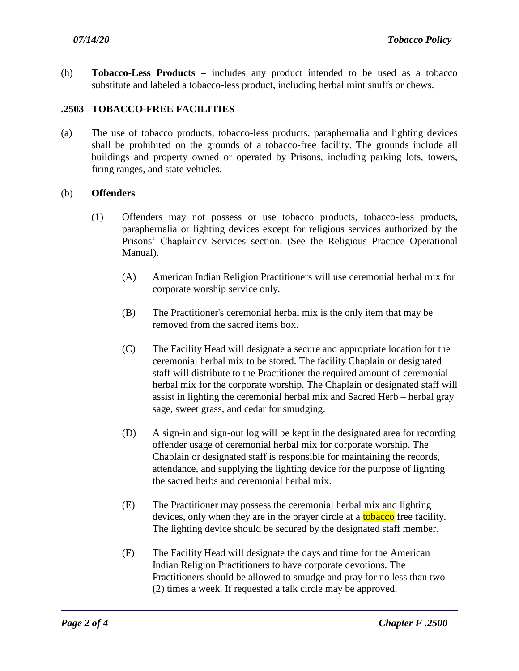(h) **Tobacco-Less Products –** includes any product intended to be used as a tobacco substitute and labeled a tobacco-less product, including herbal mint snuffs or chews.

## **.2503 TOBACCO-FREE FACILITIES**

(a) The use of tobacco products, tobacco-less products, paraphernalia and lighting devices shall be prohibited on the grounds of a tobacco-free facility. The grounds include all buildings and property owned or operated by Prisons, including parking lots, towers, firing ranges, and state vehicles.

#### (b) **Offenders**

- (1) Offenders may not possess or use tobacco products, tobacco-less products, paraphernalia or lighting devices except for religious services authorized by the Prisons' Chaplaincy Services section. (See the Religious Practice Operational Manual).
	- (A) American Indian Religion Practitioners will use ceremonial herbal mix for corporate worship service only.
	- (B) The Practitioner's ceremonial herbal mix is the only item that may be removed from the sacred items box.
	- (C) The Facility Head will designate a secure and appropriate location for the ceremonial herbal mix to be stored. The facility Chaplain or designated staff will distribute to the Practitioner the required amount of ceremonial herbal mix for the corporate worship. The Chaplain or designated staff will assist in lighting the ceremonial herbal mix and Sacred Herb – herbal gray sage, sweet grass, and cedar for smudging.
	- (D) A sign-in and sign-out log will be kept in the designated area for recording offender usage of ceremonial herbal mix for corporate worship. The Chaplain or designated staff is responsible for maintaining the records, attendance, and supplying the lighting device for the purpose of lighting the sacred herbs and ceremonial herbal mix.
	- (E) The Practitioner may possess the ceremonial herbal mix and lighting devices, only when they are in the prayer circle at a **tobacco** free facility. The lighting device should be secured by the designated staff member.
	- (F) The Facility Head will designate the days and time for the American Indian Religion Practitioners to have corporate devotions. The Practitioners should be allowed to smudge and pray for no less than two (2) times a week. If requested a talk circle may be approved.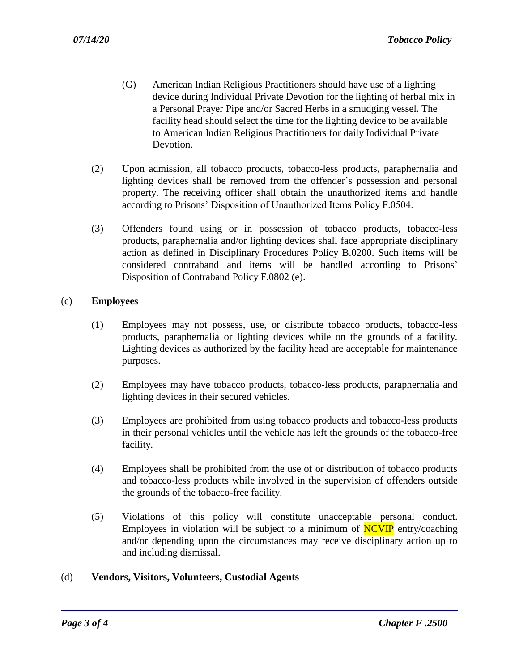- (G) American Indian Religious Practitioners should have use of a lighting device during Individual Private Devotion for the lighting of herbal mix in a Personal Prayer Pipe and/or Sacred Herbs in a smudging vessel. The facility head should select the time for the lighting device to be available to American Indian Religious Practitioners for daily Individual Private Devotion.
- (2) Upon admission, all tobacco products, tobacco-less products, paraphernalia and lighting devices shall be removed from the offender's possession and personal property. The receiving officer shall obtain the unauthorized items and handle according to Prisons' Disposition of Unauthorized Items Policy F.0504.
- (3) Offenders found using or in possession of tobacco products, tobacco-less products, paraphernalia and/or lighting devices shall face appropriate disciplinary action as defined in Disciplinary Procedures Policy B.0200. Such items will be considered contraband and items will be handled according to Prisons' Disposition of Contraband Policy F.0802 (e).

### (c) **Employees**

- (1) Employees may not possess, use, or distribute tobacco products, tobacco-less products, paraphernalia or lighting devices while on the grounds of a facility. Lighting devices as authorized by the facility head are acceptable for maintenance purposes.
- (2) Employees may have tobacco products, tobacco-less products, paraphernalia and lighting devices in their secured vehicles.
- (3) Employees are prohibited from using tobacco products and tobacco-less products in their personal vehicles until the vehicle has left the grounds of the tobacco-free facility.
- (4) Employees shall be prohibited from the use of or distribution of tobacco products and tobacco-less products while involved in the supervision of offenders outside the grounds of the tobacco-free facility.
- (5) Violations of this policy will constitute unacceptable personal conduct. Employees in violation will be subject to a minimum of  $\overline{NCVP}$  entry/coaching and/or depending upon the circumstances may receive disciplinary action up to and including dismissal.

#### (d) **Vendors, Visitors, Volunteers, Custodial Agents**